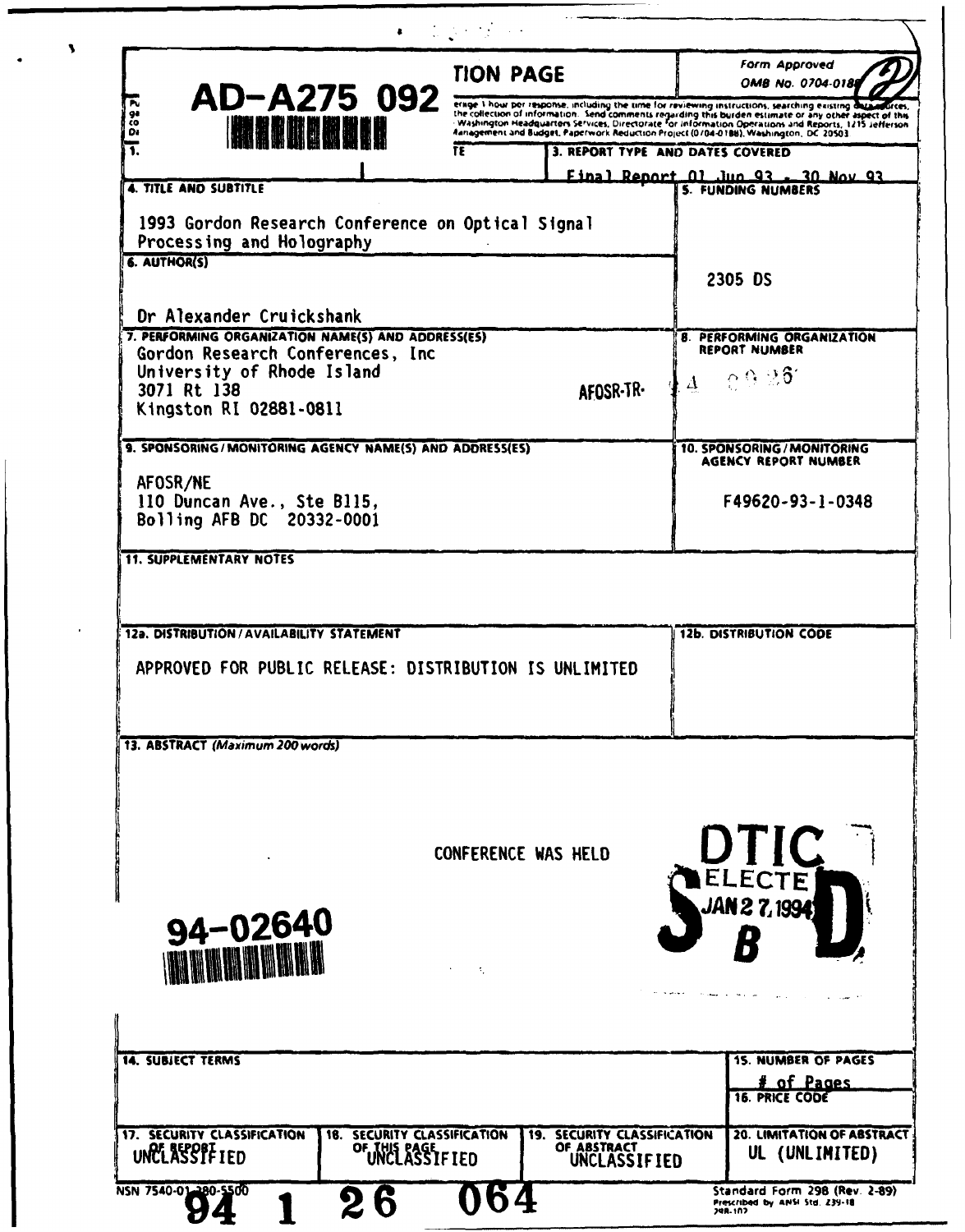|                                                                                                                                        | <b>TION PAGE</b>                                                                                   |           | <b>Form Approved</b><br>OMB No. 0704-018                                                                                                                                                                                                 |
|----------------------------------------------------------------------------------------------------------------------------------------|----------------------------------------------------------------------------------------------------|-----------|------------------------------------------------------------------------------------------------------------------------------------------------------------------------------------------------------------------------------------------|
| AD-A275 092<br>π<br>92<br>čο                                                                                                           | erage I hour per response, including the time for reviewing instructions, searching existing data. |           | füres.<br>the collection of information. Send comments regarding this burden estimate or any other aspect of this the collection of information. Send comments regarding this burden estimate or any other aspect of this family and the |
| <u>IN ALIMANDIN</u><br>ö.<br>Ŧ.                                                                                                        | TΕ                                                                                                 |           | 3. REPORT TYPE AND DATES COVERED                                                                                                                                                                                                         |
| 4. TITLE AND SUBTITLE                                                                                                                  |                                                                                                    |           | Final Report 01 Jun 93 - 30 Nov 93<br><b>5. FUNDING NUMBERS</b>                                                                                                                                                                          |
| 1993 Gordon Research Conference on Optical Signal<br>Processing and Holography<br>6. AUTHOR(S)                                         |                                                                                                    |           | 2305 DS                                                                                                                                                                                                                                  |
| Dr Alexander Cruickshank                                                                                                               |                                                                                                    |           |                                                                                                                                                                                                                                          |
| 7. PERFORMING ORGANIZATION NAME(S) AND ADDRESS(ES)<br>Gordon Research Conferences, Inc.<br>University of Rhode Island<br>3071 Rt 138   |                                                                                                    | AFOSR-TR- | 8. PERFORMING ORGANIZATION<br><b>REPORT NUMBER</b><br>4.0926                                                                                                                                                                             |
| Kingston RI 02881-0811                                                                                                                 |                                                                                                    |           |                                                                                                                                                                                                                                          |
| 9. SPONSORING/MONITORING AGENCY NAME(S) AND ADDRESS(ES)                                                                                |                                                                                                    |           | 10. SPONSORING / MONITORING<br><b>AGENCY REPORT NUMBER</b>                                                                                                                                                                               |
| AFOSR/NE<br>110 Duncan Ave., Ste B115,<br>Bolling AFB DC 20332-0001                                                                    |                                                                                                    |           | F49620-93-1-0348                                                                                                                                                                                                                         |
| <b>11. SUPPLEMENTARY NOTES</b><br>12a. DISTRIBUTION / AVAILABILITY STATEMENT<br>APPROVED FOR PUBLIC RELEASE: DISTRIBUTION IS UNLIMITED |                                                                                                    |           | <b>12b. DISTRIBUTION CODE</b>                                                                                                                                                                                                            |
| 13. ABSTRACT (Maximum 200 words)                                                                                                       |                                                                                                    |           |                                                                                                                                                                                                                                          |
| 94-02640                                                                                                                               | CONFERENCE WAS HELD<br>т.                                                                          |           | <b>DTIC</b><br><b>JAN 2 7, 1994)</b>                                                                                                                                                                                                     |
| <b>14. SUBJECT TERMS</b>                                                                                                               |                                                                                                    |           |                                                                                                                                                                                                                                          |
|                                                                                                                                        |                                                                                                    |           | <b>15. NUMBER OF PAGES</b><br># of Pages<br><b>16. PRICE CODE</b>                                                                                                                                                                        |

 $\overline{\phantom{a}}$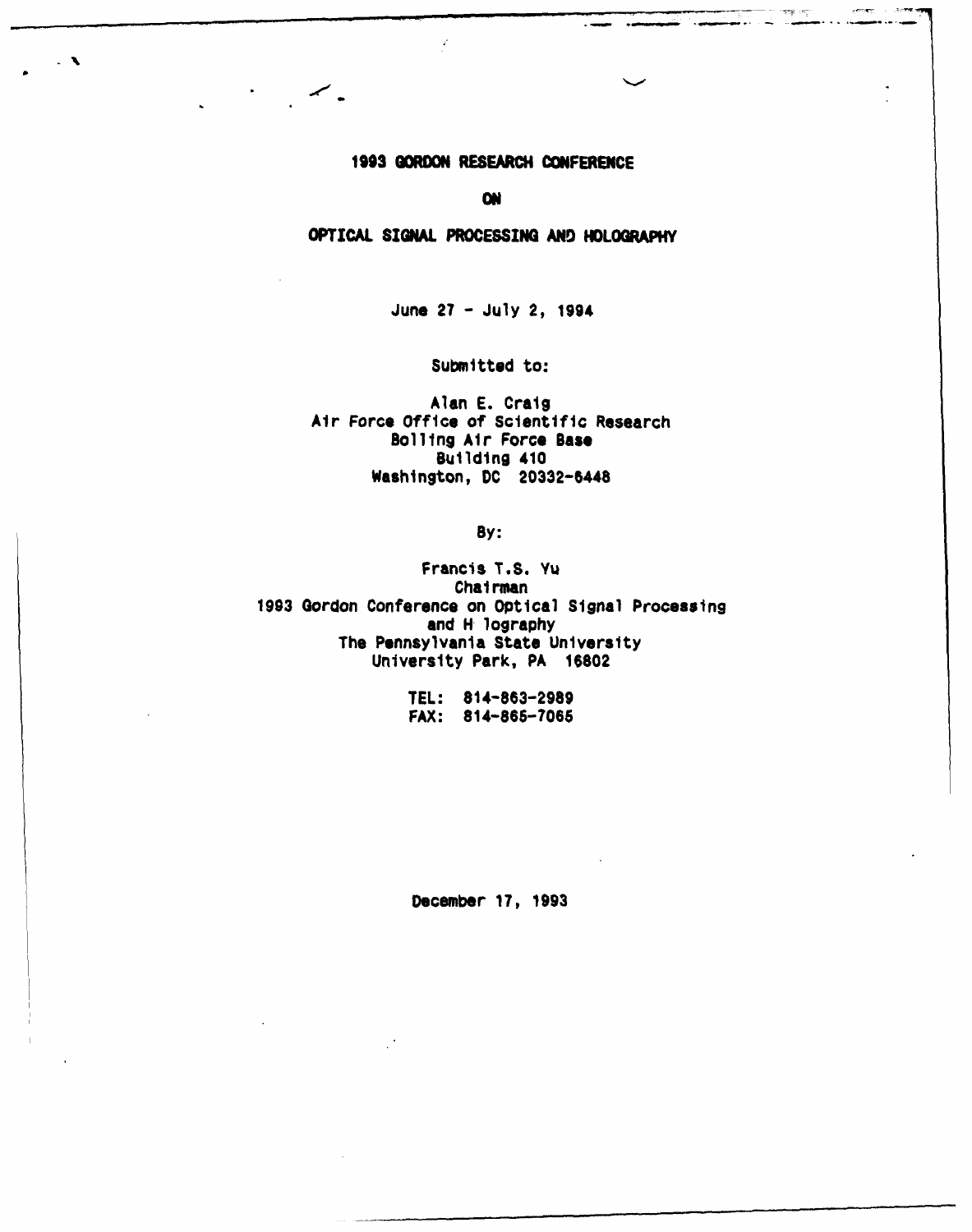## **1993** GORDON RESEARCH **CONFERENCE**

╱╺

 $\overline{\phantom{a}}$ 

omer.

**ON**

#### OPTICAL SIGNAL **PROCESSING AND** HOLOGRAPHY

June 27 - July 2, 1994

Submitted to:

Alan E. Craig Air Force Office of Scientific Research Bolling Air Force Base Building 410 Washington, **DC** 20332-5448

By:

Francis T.S. Yu Chairman 1993 Gordon Conference on Optical Signal Processing and H lography The Pennsylvania State University University Park, PA 16802

> TEL: 814-863-2989 FAX: 814-865-7066

December 17, 1993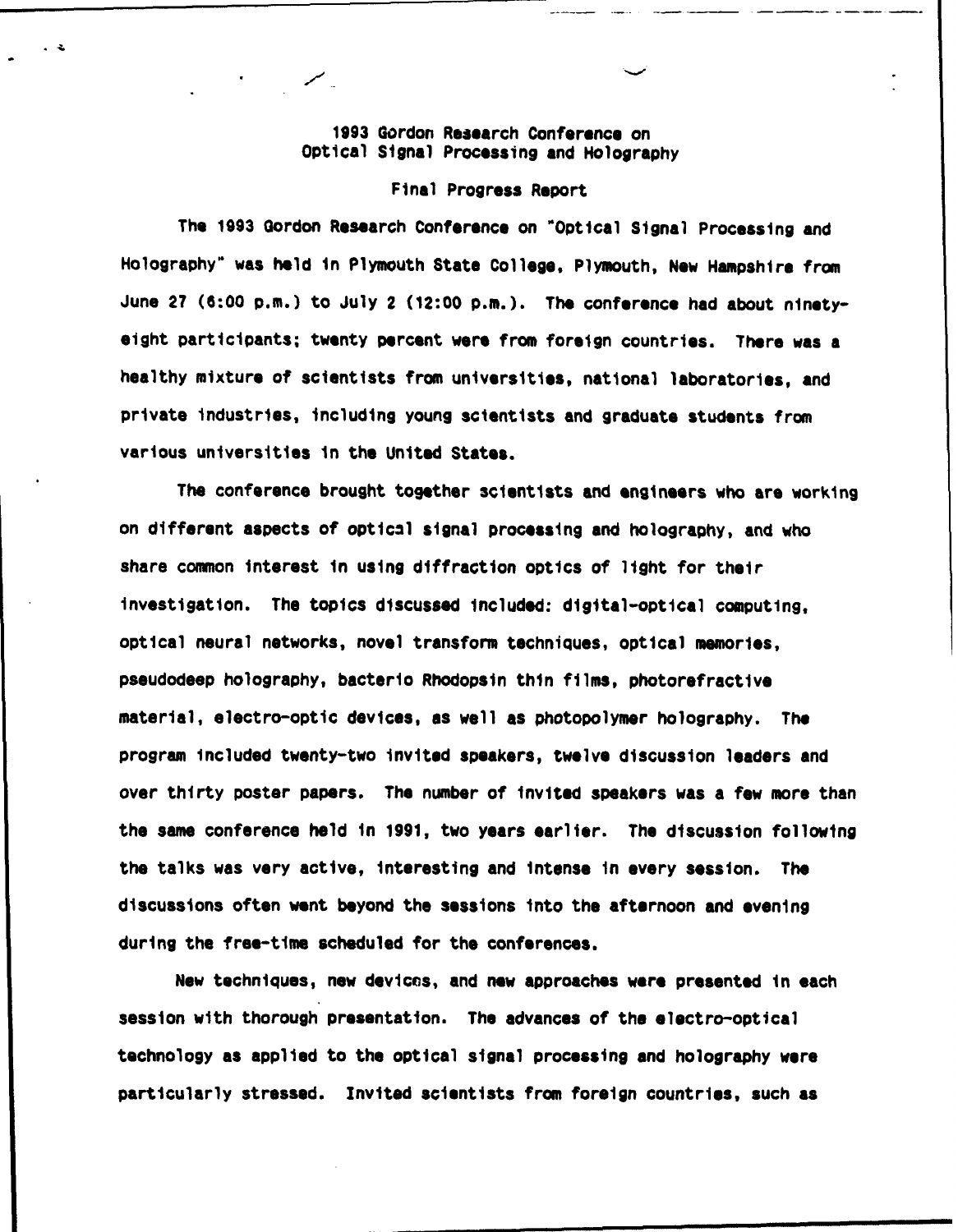## 1993 Gordon Research Conference on Optical Signal Processing and Holography

#### Final Progress Report

The 1993 Gordon Research Conference on \*Optical Signal Processing and Holography" was held in Plymouth State College, Plymouth, New Hampshire from June 27 (6:00 p.m.) to July 2 (12:00 p.m.). The conference had about ninetyeight participants; twenty percent were from foreign countries. There was a healthy mixture of scientists from universities, national laboratories, and private Industries, including young scientists and graduate students from various universities in the United States.

The conference brought together scientists and engineers who are working on different aspects of optical signal processing and holography, and who share common interest In using diffraction optics of light for their Investigation. The topics discussed included: digital-optical computing, optical neural networks, novel transform techniques, optical memories, pseudodeep holography, bacterto Rhodopsin thin films, photorefractive material, electro-optic devices, as well as photopolymer holography. The program included twenty-two invited speakers, twelve discussion leaders and over thirty poster papers. The number of invited speakers was a few more than the same conference held in 1991, two years earlier. The discussion following the talks was very active, interesting and intense in every session. The discussions often went beyond the sessions into the afternoon and evening during the free-time scheduled for the conferences.

New techniques, new devices, and new approaches were presented In each session with thorough presentation. The advances of the electro-optical technology as applied to the optical signal processing and holography were particularly stressed. Invited scientists from foreign countries, such as